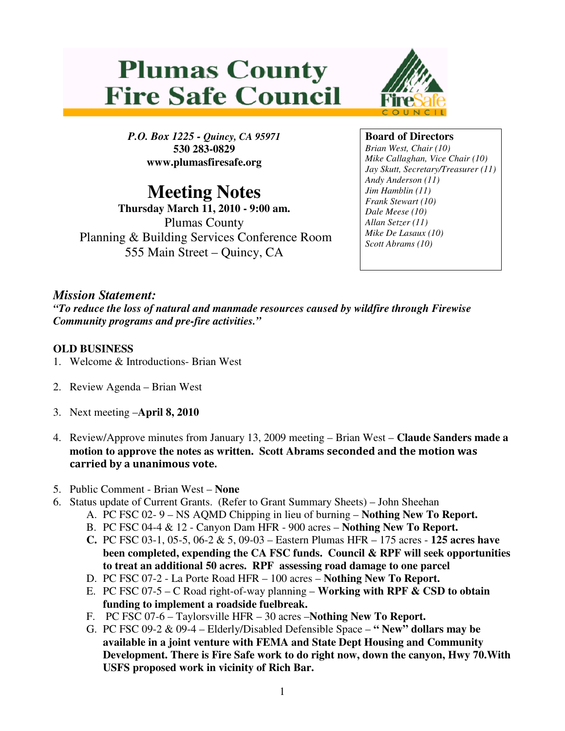# **Plumas County Fire Safe Council**



*P.O. Box 1225 - Quincy, CA 95971*  **530 283-0829 www.plumasfiresafe.org** 

## **Meeting Notes**

**Thursday March 11, 2010 - 9:00 am.**  Plumas County Planning & Building Services Conference Room 555 Main Street – Quincy, CA

### **Board of Directors**

*Brian West, Chair (10) Mike Callaghan, Vice Chair (10) Jay Skutt, Secretary/Treasurer (11) Andy Anderson (11) Jim Hamblin (11) Frank Stewart (10) Dale Meese (10) Allan Setzer (11) Mike De Lasaux (10) Scott Abrams (10)*

### *Mission Statement:*

*"To reduce the loss of natural and manmade resources caused by wildfire through Firewise Community programs and pre-fire activities."* 

#### **OLD BUSINESS**

- 1. Welcome & Introductions- Brian West
- 2. Review Agenda Brian West
- 3. Next meeting –**April 8, 2010**
- 4. Review/Approve minutes from January 13, 2009 meeting Brian West **Claude Sanders made a motion to approve the notes as written. Scott Abrams** seconded and the motion was carried by a unanimous vote.
- 5. Public Comment Brian West **None**
- 6. Status update of Current Grants. (Refer to Grant Summary Sheets) John Sheehan
	- A. PC FSC 02- 9 NS AQMD Chipping in lieu of burning **Nothing New To Report.**
	- B. PC FSC 04-4 & 12 Canyon Dam HFR 900 acres **Nothing New To Report.**
	- **C.** PC FSC 03-1, 05-5, 06-2 & 5, 09-03 Eastern Plumas HFR 175 acres **125 acres have been completed, expending the CA FSC funds. Council & RPF will seek opportunities to treat an additional 50 acres. RPF assessing road damage to one parcel**
	- D. PC FSC 07-2 La Porte Road HFR 100 acres **Nothing New To Report.**
	- E. PC FSC 07-5 C Road right-of-way planning **Working with RPF & CSD to obtain funding to implement a roadside fuelbreak.**
	- F. PC FSC 07-6 Taylorsville HFR 30 acres –**Nothing New To Report.**
	- G. PC FSC 09-2 & 09-4 Elderly/Disabled Defensible Space **" New" dollars may be available in a joint venture with FEMA and State Dept Housing and Community Development. There is Fire Safe work to do right now, down the canyon, Hwy 70.With USFS proposed work in vicinity of Rich Bar.**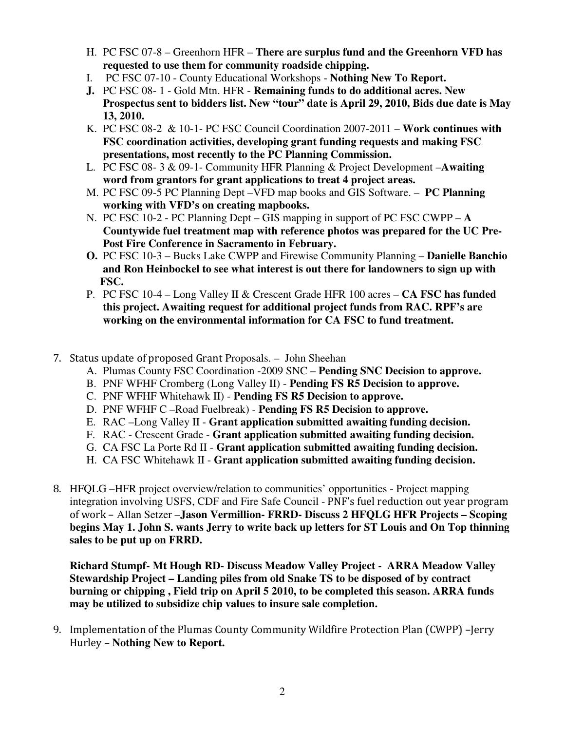- H. PC FSC 07-8 Greenhorn HFR **There are surplus fund and the Greenhorn VFD has requested to use them for community roadside chipping.**
- I. PC FSC 07-10 County Educational Workshops **Nothing New To Report.**
- **J.** PC FSC 08- 1 Gold Mtn. HFR **Remaining funds to do additional acres. New Prospectus sent to bidders list. New "tour" date is April 29, 2010, Bids due date is May 13, 2010.**
- K. PC FSC 08-2 & 10-1- PC FSC Council Coordination 2007-2011 **Work continues with FSC coordination activities, developing grant funding requests and making FSC presentations, most recently to the PC Planning Commission.**
- L. PC FSC 08- 3 & 09-1- Community HFR Planning & Project Development –**Awaiting word from grantors for grant applications to treat 4 project areas.**
- M. PC FSC 09-5 PC Planning Dept –VFD map books and GIS Software. **PC Planning working with VFD's on creating mapbooks.**
- N. PC FSC 10-2 PC Planning Dept GIS mapping in support of PC FSC CWPP **A Countywide fuel treatment map with reference photos was prepared for the UC Pre-Post Fire Conference in Sacramento in February.**
- **O.** PC FSC 10-3 Bucks Lake CWPP and Firewise Community Planning **Danielle Banchio and Ron Heinbockel to see what interest is out there for landowners to sign up with FSC.**
- P. PC FSC 10-4 Long Valley II & Crescent Grade HFR 100 acres **CA FSC has funded this project. Awaiting request for additional project funds from RAC. RPF's are working on the environmental information for CA FSC to fund treatment.**

#### 7. Status update of proposed Grant Proposals. – John Sheehan

- A. Plumas County FSC Coordination -2009 SNC – **Pending SNC Decision to approve.**
- B. PNF WFHF Cromberg (Long Valley II) **Pending FS R5 Decision to approve.**
- C. PNF WFHF Whitehawk II) **Pending FS R5 Decision to approve.**
- D. PNF WFHF C –Road Fuelbreak) **Pending FS R5 Decision to approve.**
- E. RAC –Long Valley II **Grant application submitted awaiting funding decision.**
- F. RAC Crescent Grade **Grant application submitted awaiting funding decision.**
- G. CA FSC La Porte Rd II **Grant application submitted awaiting funding decision.**
- H. CA FSC Whitehawk II **Grant application submitted awaiting funding decision.**
- 8. HFQLG –HFR project overview/relation to communities' opportunities Project mapping integration involving USFS, CDF and Fire Safe Council - PNF's fuel reduction out year program of work – Allan Setzer –**Jason Vermillion- FRRD- Discuss 2 HFQLG HFR Projects – Scoping begins May 1. John S. wants Jerry to write back up letters for ST Louis and On Top thinning sales to be put up on FRRD.**

**Richard Stumpf- Mt Hough RD- Discuss Meadow Valley Project - ARRA Meadow Valley Stewardship Project – Landing piles from old Snake TS to be disposed of by contract burning or chipping , Field trip on April 5 2010, to be completed this season. ARRA funds may be utilized to subsidize chip values to insure sale completion.** 

9. Implementation of the Plumas County Community Wildfire Protection Plan (CWPP) –Jerry Hurley – **Nothing New to Report.**